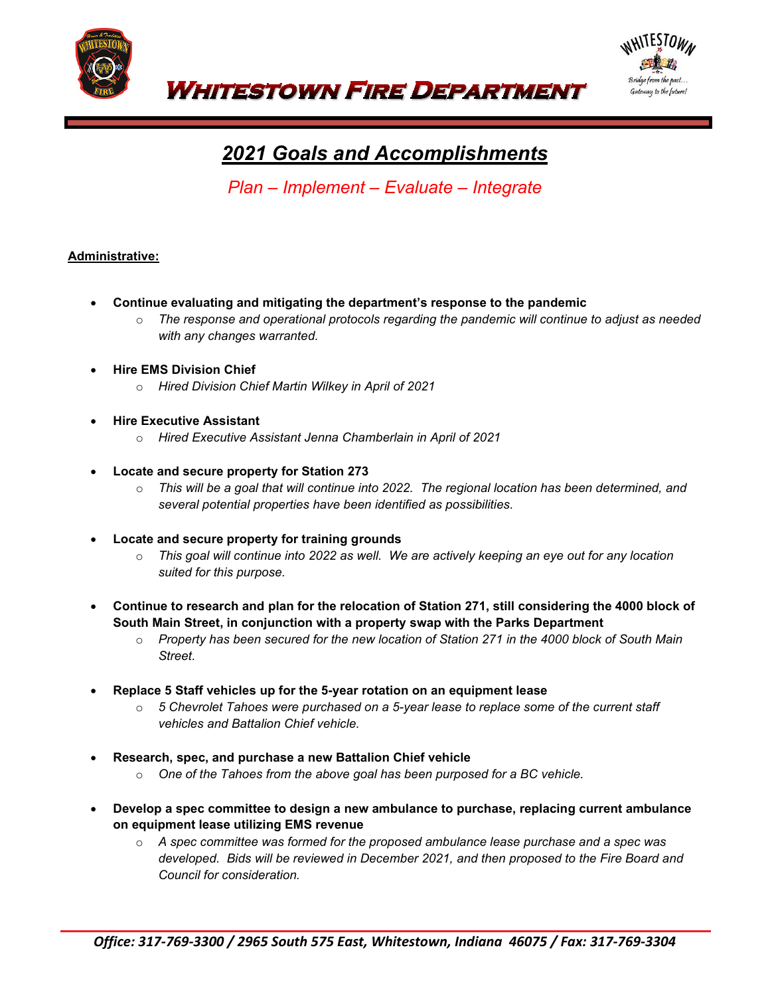



# *2021 Goals and Accomplishments*

*Plan – Implement – Evaluate – Integrate* 

## **Administrative:**

- **Continue evaluating and mitigating the department's response to the pandemic**
	- o *The response and operational protocols regarding the pandemic will continue to adjust as needed with any changes warranted.*
- **Hire EMS Division Chief**
	- o *Hired Division Chief Martin Wilkey in April of 2021*
- **Hire Executive Assistant**
	- o *Hired Executive Assistant Jenna Chamberlain in April of 2021*
- **Locate and secure property for Station 273**
	- o *This will be a goal that will continue into 2022. The regional location has been determined, and several potential properties have been identified as possibilities.*
- **Locate and secure property for training grounds**
	- o *This goal will continue into 2022 as well. We are actively keeping an eye out for any location suited for this purpose.*
- **Continue to research and plan for the relocation of Station 271, still considering the 4000 block of South Main Street, in conjunction with a property swap with the Parks Department**
	- o *Property has been secured for the new location of Station 271 in the 4000 block of South Main Street.*
- **Replace 5 Staff vehicles up for the 5-year rotation on an equipment lease**
	- o *5 Chevrolet Tahoes were purchased on a 5-year lease to replace some of the current staff vehicles and Battalion Chief vehicle.*
- **Research, spec, and purchase a new Battalion Chief vehicle**
	- o *One of the Tahoes from the above goal has been purposed for a BC vehicle.*
- **Develop a spec committee to design a new ambulance to purchase, replacing current ambulance on equipment lease utilizing EMS revenue**
	- o *A spec committee was formed for the proposed ambulance lease purchase and a spec was developed. Bids will be reviewed in December 2021, and then proposed to the Fire Board and Council for consideration.*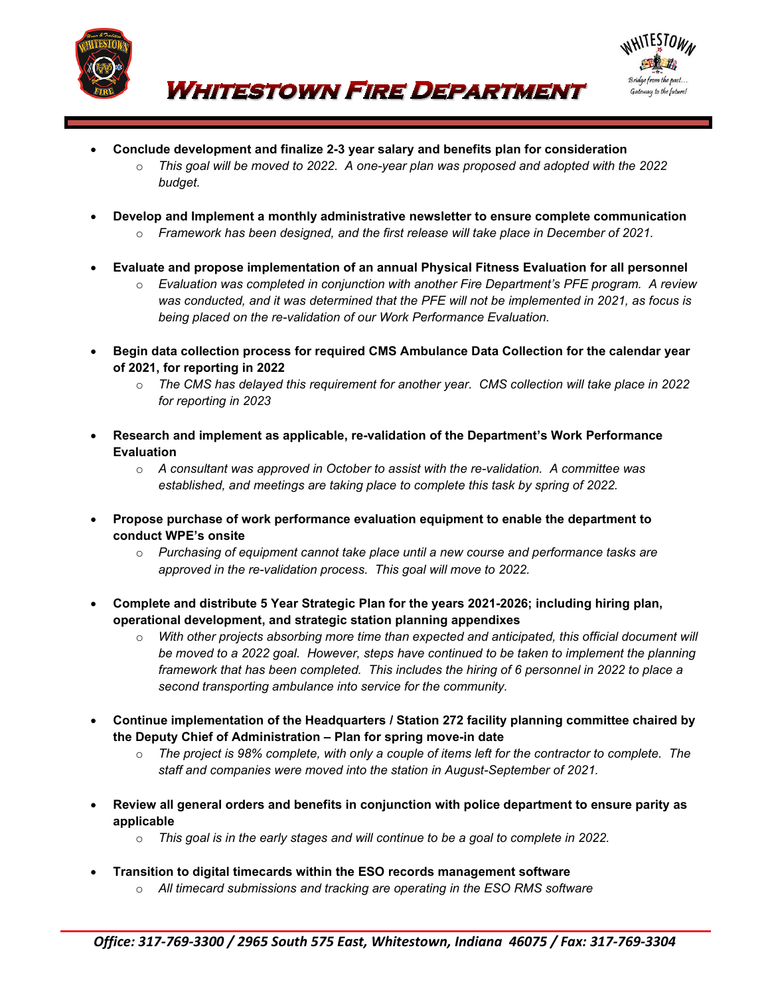



• **Conclude development and finalize 2-3 year salary and benefits plan for consideration**

**WHITESTOWN FIRE DEPARTMENT** 

- o *This goal will be moved to 2022. A one-year plan was proposed and adopted with the 2022 budget.*
- **Develop and Implement a monthly administrative newsletter to ensure complete communication**
	- o *Framework has been designed, and the first release will take place in December of 2021.*
- **Evaluate and propose implementation of an annual Physical Fitness Evaluation for all personnel**
	- o *Evaluation was completed in conjunction with another Fire Department's PFE program. A review was conducted, and it was determined that the PFE will not be implemented in 2021, as focus is being placed on the re-validation of our Work Performance Evaluation.*
- **Begin data collection process for required CMS Ambulance Data Collection for the calendar year of 2021, for reporting in 2022**
	- o *The CMS has delayed this requirement for another year. CMS collection will take place in 2022 for reporting in 2023*
- **Research and implement as applicable, re-validation of the Department's Work Performance Evaluation**

o *A consultant was approved in October to assist with the re-validation. A committee was established, and meetings are taking place to complete this task by spring of 2022.*

- **Propose purchase of work performance evaluation equipment to enable the department to conduct WPE's onsite**
	- o *Purchasing of equipment cannot take place until a new course and performance tasks are approved in the re-validation process. This goal will move to 2022.*
- **Complete and distribute 5 Year Strategic Plan for the years 2021-2026; including hiring plan, operational development, and strategic station planning appendixes**
	- o *With other projects absorbing more time than expected and anticipated, this official document will be moved to a 2022 goal. However, steps have continued to be taken to implement the planning framework that has been completed. This includes the hiring of 6 personnel in 2022 to place a second transporting ambulance into service for the community.*
- **Continue implementation of the Headquarters / Station 272 facility planning committee chaired by the Deputy Chief of Administration – Plan for spring move-in date**
	- o *The project is 98% complete, with only a couple of items left for the contractor to complete. The staff and companies were moved into the station in August-September of 2021.*
- **Review all general orders and benefits in conjunction with police department to ensure parity as applicable**
	- o *This goal is in the early stages and will continue to be a goal to complete in 2022.*
- **Transition to digital timecards within the ESO records management software**
	- o *All timecard submissions and tracking are operating in the ESO RMS software*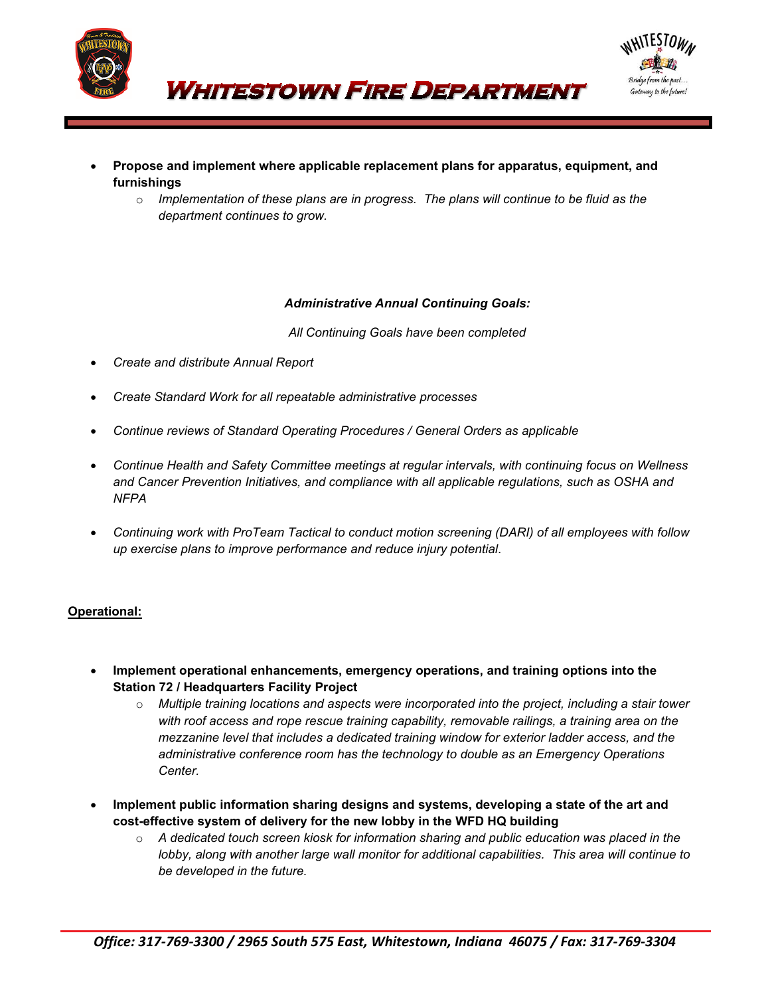



**WHITESTOWN FIRE DEPARTMENT** 

- **Propose and implement where applicable replacement plans for apparatus, equipment, and furnishings**
	- o *Implementation of these plans are in progress. The plans will continue to be fluid as the department continues to grow.*

## *Administrative Annual Continuing Goals:*

*All Continuing Goals have been completed*

- *Create and distribute Annual Report*
- *Create Standard Work for all repeatable administrative processes*
- *Continue reviews of Standard Operating Procedures / General Orders as applicable*
- *Continue Health and Safety Committee meetings at regular intervals, with continuing focus on Wellness and Cancer Prevention Initiatives, and compliance with all applicable regulations, such as OSHA and NFPA*
- *Continuing work with ProTeam Tactical to conduct motion screening (DARI) of all employees with follow up exercise plans to improve performance and reduce injury potential*.

# **Operational:**

- **Implement operational enhancements, emergency operations, and training options into the Station 72 / Headquarters Facility Project**
	- o *Multiple training locations and aspects were incorporated into the project, including a stair tower with roof access and rope rescue training capability, removable railings, a training area on the mezzanine level that includes a dedicated training window for exterior ladder access, and the administrative conference room has the technology to double as an Emergency Operations Center.*
- **Implement public information sharing designs and systems, developing a state of the art and cost-effective system of delivery for the new lobby in the WFD HQ building**
	- o *A dedicated touch screen kiosk for information sharing and public education was placed in the lobby, along with another large wall monitor for additional capabilities. This area will continue to be developed in the future.*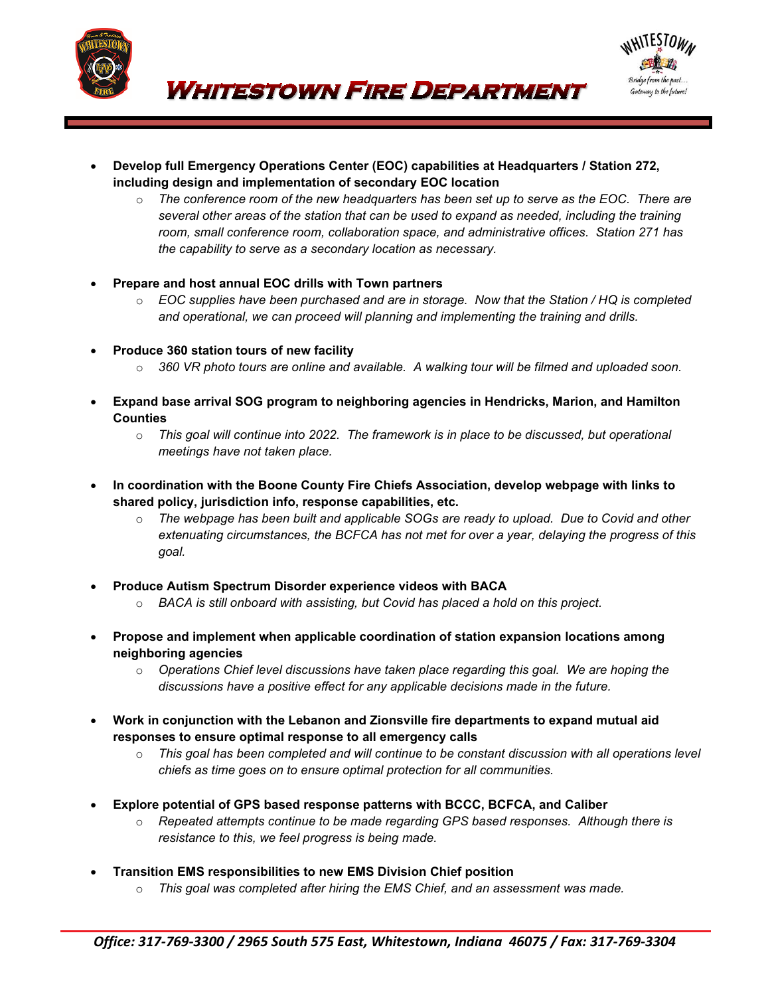



- **Develop full Emergency Operations Center (EOC) capabilities at Headquarters / Station 272, including design and implementation of secondary EOC location**
	- o *The conference room of the new headquarters has been set up to serve as the EOC. There are several other areas of the station that can be used to expand as needed, including the training room, small conference room, collaboration space, and administrative offices. Station 271 has the capability to serve as a secondary location as necessary.*
- **Prepare and host annual EOC drills with Town partners**
	- o *EOC supplies have been purchased and are in storage. Now that the Station / HQ is completed and operational, we can proceed will planning and implementing the training and drills.*
- **Produce 360 station tours of new facility**
	- o *360 VR photo tours are online and available. A walking tour will be filmed and uploaded soon.*
- **Expand base arrival SOG program to neighboring agencies in Hendricks, Marion, and Hamilton Counties**
	- o *This goal will continue into 2022. The framework is in place to be discussed, but operational meetings have not taken place.*
- **In coordination with the Boone County Fire Chiefs Association, develop webpage with links to shared policy, jurisdiction info, response capabilities, etc.**
	- o *The webpage has been built and applicable SOGs are ready to upload. Due to Covid and other extenuating circumstances, the BCFCA has not met for over a year, delaying the progress of this goal.*
- **Produce Autism Spectrum Disorder experience videos with BACA**
	- o *BACA is still onboard with assisting, but Covid has placed a hold on this project.*
- **Propose and implement when applicable coordination of station expansion locations among neighboring agencies**
	- o *Operations Chief level discussions have taken place regarding this goal. We are hoping the discussions have a positive effect for any applicable decisions made in the future.*
- **Work in conjunction with the Lebanon and Zionsville fire departments to expand mutual aid responses to ensure optimal response to all emergency calls**
	- o *This goal has been completed and will continue to be constant discussion with all operations level chiefs as time goes on to ensure optimal protection for all communities.*
- **Explore potential of GPS based response patterns with BCCC, BCFCA, and Caliber**
	- o *Repeated attempts continue to be made regarding GPS based responses. Although there is resistance to this, we feel progress is being made.*
- **Transition EMS responsibilities to new EMS Division Chief position**
	- o *This goal was completed after hiring the EMS Chief, and an assessment was made.*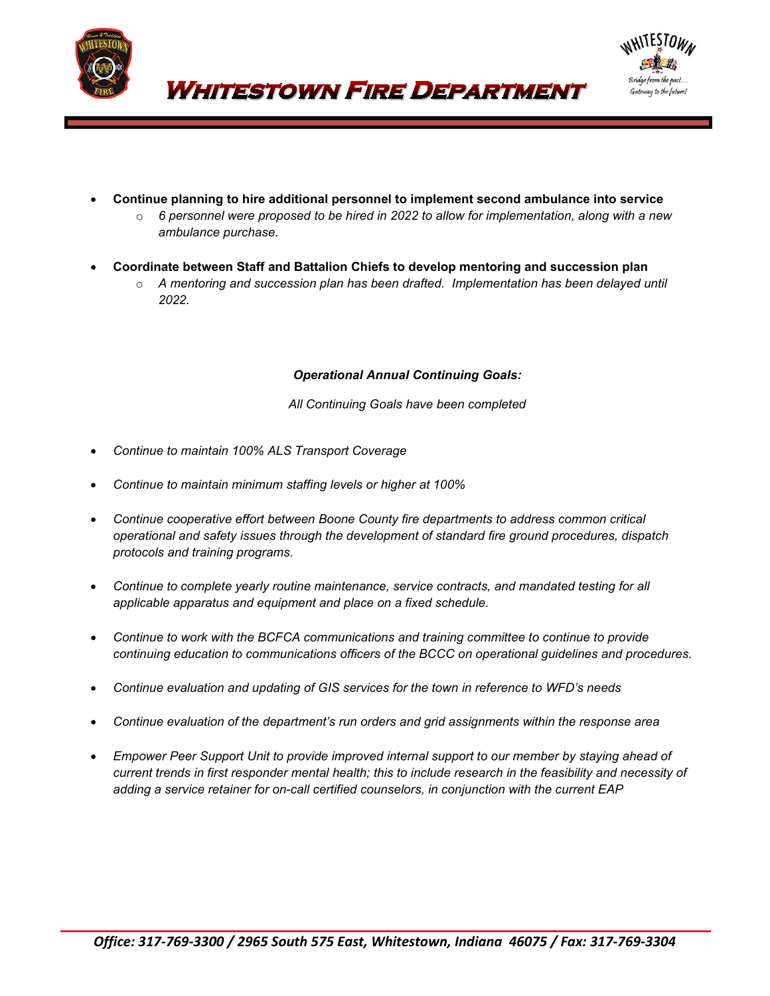



• **Continue planning to hire additional personnel to implement second ambulance into service**

**WHITESTOWN FIRE DEPARTMENT** 

- o *6 personnel were proposed to be hired in 2022 to allow for implementation, along with a new ambulance purchase.*
- **Coordinate between Staff and Battalion Chiefs to develop mentoring and succession plan**
	- o *A mentoring and succession plan has been drafted. Implementation has been delayed until 2022.*

#### *Operational Annual Continuing Goals:*

*All Continuing Goals have been completed*

- *Continue to maintain 100% ALS Transport Coverage*
- *Continue to maintain minimum staffing levels or higher at 100%*
- *Continue cooperative effort between Boone County fire departments to address common critical operational and safety issues through the development of standard fire ground procedures, dispatch protocols and training programs.*
- *Continue to complete yearly routine maintenance, service contracts, and mandated testing for all applicable apparatus and equipment and place on a fixed schedule.*
- *Continue to work with the BCFCA communications and training committee to continue to provide continuing education to communications officers of the BCCC on operational guidelines and procedures.*
- *Continue evaluation and updating of GIS services for the town in reference to WFD's needs*
- *Continue evaluation of the department's run orders and grid assignments within the response area*
- *Empower Peer Support Unit to provide improved internal support to our member by staying ahead of current trends in first responder mental health; this to include research in the feasibility and necessity of adding a service retainer for on-call certified counselors, in conjunction with the current EAP*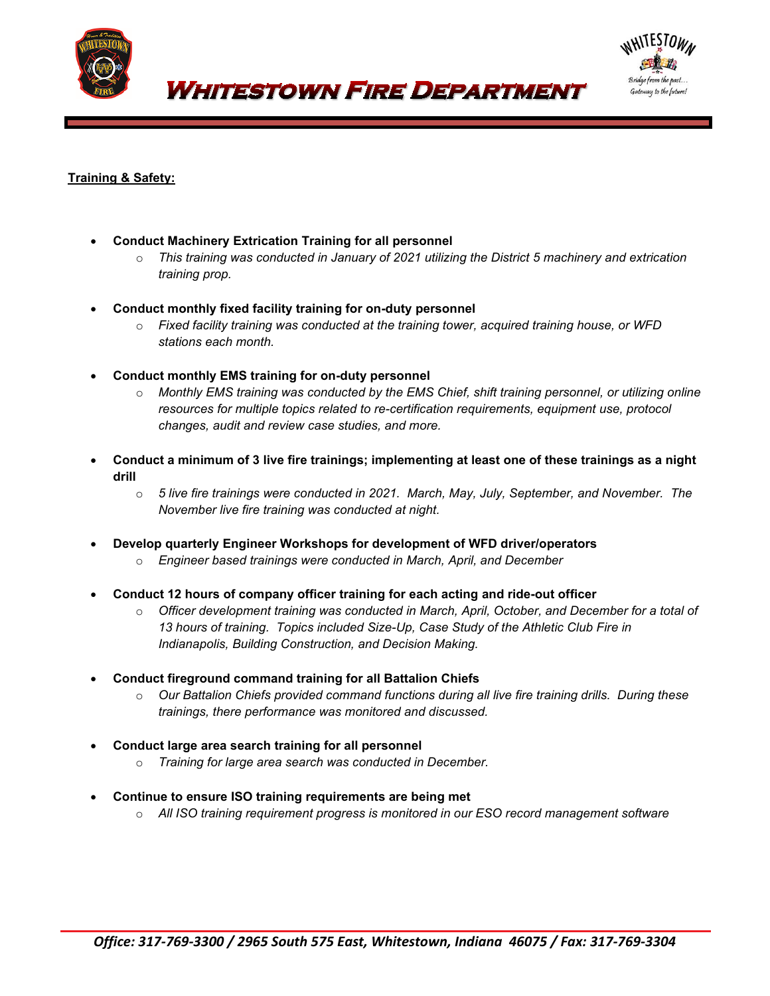

*WHITESTOWN FIRE DEPARTMENT* 



# **Training & Safety:**

- **Conduct Machinery Extrication Training for all personnel**
	- o *This training was conducted in January of 2021 utilizing the District 5 machinery and extrication training prop.*
- **Conduct monthly fixed facility training for on-duty personnel**
	- o *Fixed facility training was conducted at the training tower, acquired training house, or WFD stations each month.*
- **Conduct monthly EMS training for on-duty personnel**
	- o *Monthly EMS training was conducted by the EMS Chief, shift training personnel, or utilizing online resources for multiple topics related to re-certification requirements, equipment use, protocol changes, audit and review case studies, and more.*
- **Conduct a minimum of 3 live fire trainings; implementing at least one of these trainings as a night drill**
	- o *5 live fire trainings were conducted in 2021. March, May, July, September, and November. The November live fire training was conducted at night.*
- **Develop quarterly Engineer Workshops for development of WFD driver/operators**
	- o *Engineer based trainings were conducted in March, April, and December*
- **Conduct 12 hours of company officer training for each acting and ride-out officer**
	- o *Officer development training was conducted in March, April, October, and December for a total of 13 hours of training. Topics included Size-Up, Case Study of the Athletic Club Fire in Indianapolis, Building Construction, and Decision Making.*
- **Conduct fireground command training for all Battalion Chiefs**
	- o *Our Battalion Chiefs provided command functions during all live fire training drills. During these trainings, there performance was monitored and discussed.*
- **Conduct large area search training for all personnel**
	- o *Training for large area search was conducted in December.*
- **Continue to ensure ISO training requirements are being met**
	- o *All ISO training requirement progress is monitored in our ESO record management software*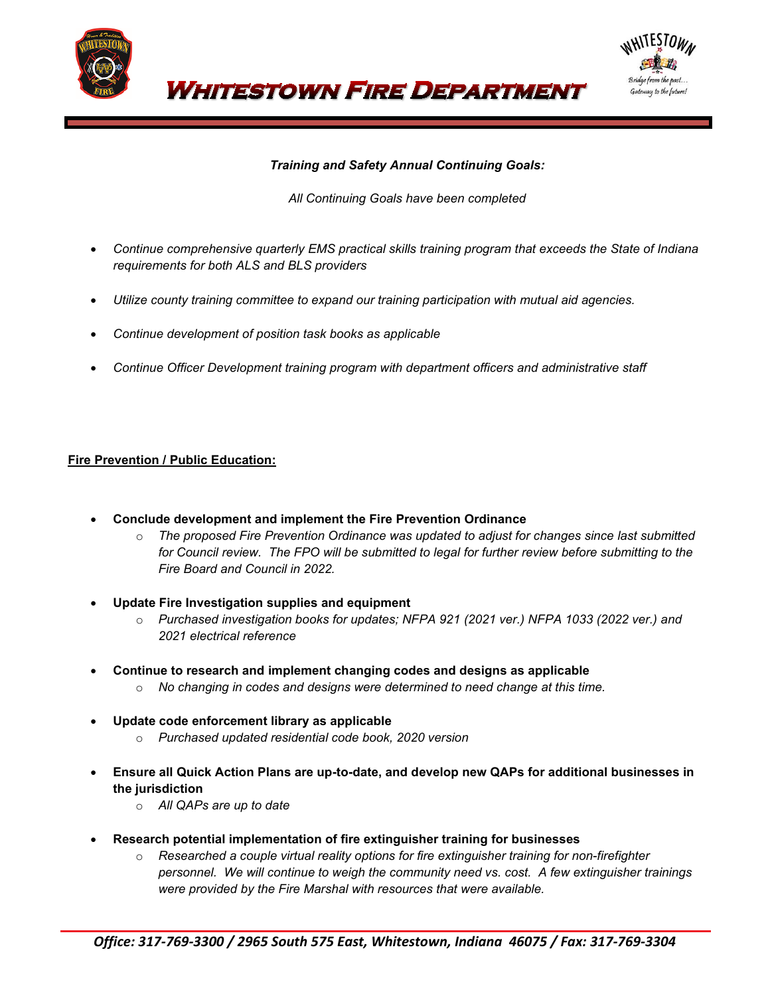

Gateway to the future!

# *Training and Safety Annual Continuing Goals:*

**WHITESTOWN FIRE DEPARTMENT** 

## *All Continuing Goals have been completed*

- *Continue comprehensive quarterly EMS practical skills training program that exceeds the State of Indiana requirements for both ALS and BLS providers*
- *Utilize county training committee to expand our training participation with mutual aid agencies.*
- *Continue development of position task books as applicable*
- *Continue Officer Development training program with department officers and administrative staff*

# **Fire Prevention / Public Education:**

- **Conclude development and implement the Fire Prevention Ordinance**
	- o *The proposed Fire Prevention Ordinance was updated to adjust for changes since last submitted for Council review. The FPO will be submitted to legal for further review before submitting to the Fire Board and Council in 2022.*
- **Update Fire Investigation supplies and equipment**
	- o *Purchased investigation books for updates; NFPA 921 (2021 ver.) NFPA 1033 (2022 ver.) and 2021 electrical reference*
- **Continue to research and implement changing codes and designs as applicable**
	- o *No changing in codes and designs were determined to need change at this time.*
- **Update code enforcement library as applicable**
	- o *Purchased updated residential code book, 2020 version*
- **Ensure all Quick Action Plans are up-to-date, and develop new QAPs for additional businesses in the jurisdiction**
	- o *All QAPs are up to date*
- **Research potential implementation of fire extinguisher training for businesses**
	- o *Researched a couple virtual reality options for fire extinguisher training for non-firefighter personnel. We will continue to weigh the community need vs. cost. A few extinguisher trainings were provided by the Fire Marshal with resources that were available.*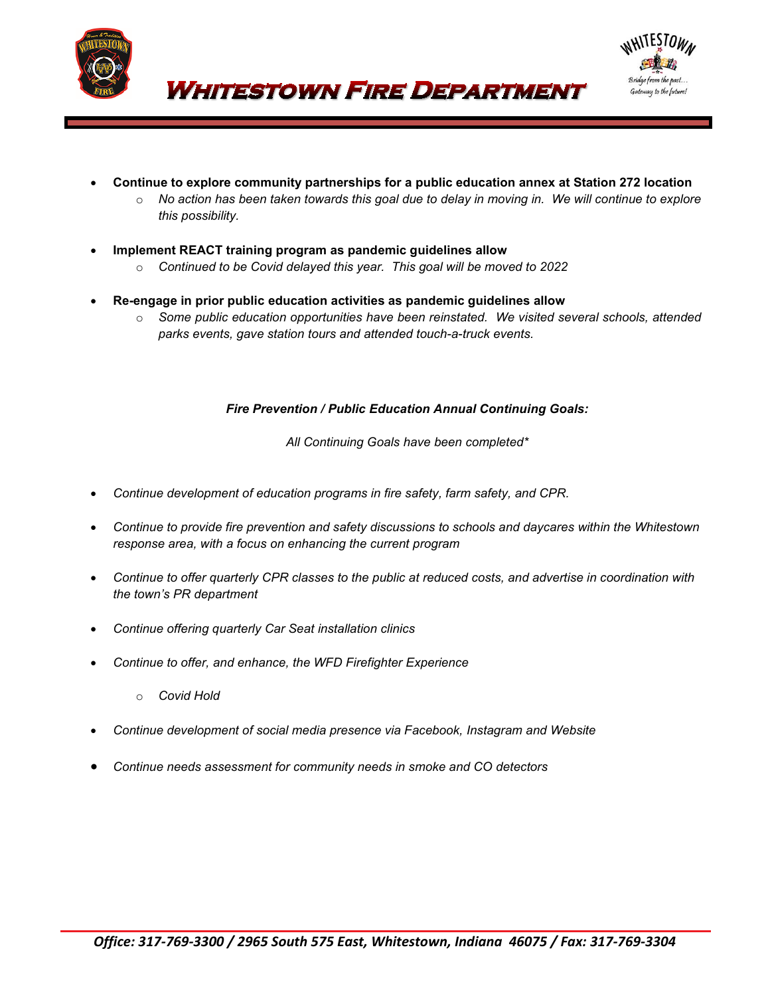



• **Continue to explore community partnerships for a public education annex at Station 272 location**

**WHITESTOWN FIRE DEPARTMENT** 

- o *No action has been taken towards this goal due to delay in moving in. We will continue to explore this possibility.*
- **Implement REACT training program as pandemic guidelines allow**
	- o *Continued to be Covid delayed this year. This goal will be moved to 2022*
- **Re-engage in prior public education activities as pandemic guidelines allow**
	- o *Some public education opportunities have been reinstated. We visited several schools, attended parks events, gave station tours and attended touch-a-truck events.*

## *Fire Prevention / Public Education Annual Continuing Goals:*

*All Continuing Goals have been completed\**

- *Continue development of education programs in fire safety, farm safety, and CPR.*
- *Continue to provide fire prevention and safety discussions to schools and daycares within the Whitestown response area, with a focus on enhancing the current program*
- *Continue to offer quarterly CPR classes to the public at reduced costs, and advertise in coordination with the town's PR department*
- *Continue offering quarterly Car Seat installation clinics*
- *Continue to offer, and enhance, the WFD Firefighter Experience*
	- o *Covid Hold*
- *Continue development of social media presence via Facebook, Instagram and Website*
- *Continue needs assessment for community needs in smoke and CO detectors*